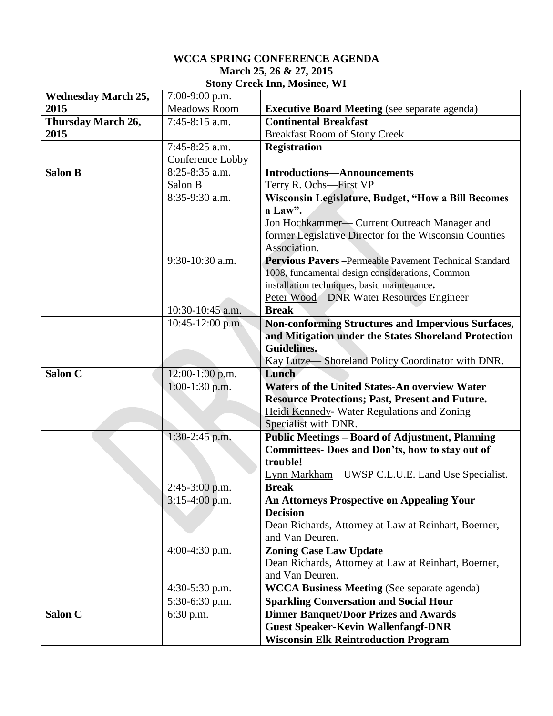## **WCCA SPRING CONFERENCE AGENDA March 25, 26 & 27, 2015 Stony Creek Inn, Mosinee, WI**

| <b>Wednesday March 25,</b> | 7:00-9:00 p.m.      |                                                                                                                                                               |  |
|----------------------------|---------------------|---------------------------------------------------------------------------------------------------------------------------------------------------------------|--|
| 2015                       | <b>Meadows Room</b> | <b>Executive Board Meeting</b> (see separate agenda)                                                                                                          |  |
| Thursday March 26,         | 7:45-8:15 a.m.      | <b>Continental Breakfast</b>                                                                                                                                  |  |
| 2015                       |                     | <b>Breakfast Room of Stony Creek</b>                                                                                                                          |  |
|                            | $7:45-8:25$ a.m.    | <b>Registration</b>                                                                                                                                           |  |
|                            | Conference Lobby    |                                                                                                                                                               |  |
| <b>Salon B</b>             | 8:25-8:35 a.m.      | <b>Introductions-Announcements</b>                                                                                                                            |  |
|                            | Salon B             | Terry R. Ochs-First VP<br>Wisconsin Legislature, Budget, "How a Bill Becomes<br>a Law".                                                                       |  |
|                            | 8:35-9:30 a.m.      |                                                                                                                                                               |  |
|                            |                     |                                                                                                                                                               |  |
|                            |                     | Jon Hochkammer- Current Outreach Manager and                                                                                                                  |  |
|                            |                     | former Legislative Director for the Wisconsin Counties                                                                                                        |  |
|                            |                     | Association.                                                                                                                                                  |  |
|                            | 9:30-10:30 a.m.     | Pervious Pavers-Permeable Pavement Technical Standard                                                                                                         |  |
|                            |                     | 1008, fundamental design considerations, Common                                                                                                               |  |
|                            |                     | installation techniques, basic maintenance.                                                                                                                   |  |
|                            |                     | Peter Wood-DNR Water Resources Engineer                                                                                                                       |  |
|                            | 10:30-10:45 a.m.    | <b>Break</b>                                                                                                                                                  |  |
|                            | 10:45-12:00 p.m.    | <b>Non-conforming Structures and Impervious Surfaces,</b>                                                                                                     |  |
|                            |                     | and Mitigation under the States Shoreland Protection                                                                                                          |  |
|                            |                     | <b>Guidelines.</b>                                                                                                                                            |  |
|                            |                     | Kay Lutze—Shoreland Policy Coordinator with DNR.                                                                                                              |  |
| Salon C                    | $12:00-1:00$ p.m.   | Lunch                                                                                                                                                         |  |
|                            | $1:00-1:30$ p.m.    | <b>Waters of the United States-An overview Water</b><br><b>Resource Protections; Past, Present and Future.</b><br>Heidi Kennedy- Water Regulations and Zoning |  |
|                            |                     |                                                                                                                                                               |  |
|                            |                     |                                                                                                                                                               |  |
|                            |                     | Specialist with DNR.                                                                                                                                          |  |
|                            | $1:30-2:45$ p.m.    | <b>Public Meetings - Board of Adjustment, Planning</b><br>Committees- Does and Don'ts, how to stay out of                                                     |  |
|                            |                     | trouble!                                                                                                                                                      |  |
|                            |                     | Lynn Markham—UWSP C.L.U.E. Land Use Specialist.                                                                                                               |  |
|                            | $2:45-3:00$ p.m.    | <b>Break</b>                                                                                                                                                  |  |
|                            | $3:15-4:00$ p.m.    | <b>An Attorneys Prospective on Appealing Your</b>                                                                                                             |  |
|                            |                     | <b>Decision</b>                                                                                                                                               |  |
|                            |                     | Dean Richards, Attorney at Law at Reinhart, Boerner,                                                                                                          |  |
|                            |                     | and Van Deuren.                                                                                                                                               |  |
|                            | 4:00-4:30 p.m.      | <b>Zoning Case Law Update</b>                                                                                                                                 |  |
|                            |                     | Dean Richards, Attorney at Law at Reinhart, Boerner,                                                                                                          |  |
|                            |                     | and Van Deuren.                                                                                                                                               |  |
|                            | $4:30-5:30$ p.m.    | <b>WCCA Business Meeting (See separate agenda)</b>                                                                                                            |  |
|                            | 5:30-6:30 p.m.      | <b>Sparkling Conversation and Social Hour</b>                                                                                                                 |  |
|                            |                     |                                                                                                                                                               |  |
| Salon C                    | 6:30 p.m.           | <b>Dinner Banquet/Door Prizes and Awards</b>                                                                                                                  |  |
|                            |                     | <b>Guest Speaker-Kevin Wallenfangf-DNR</b>                                                                                                                    |  |